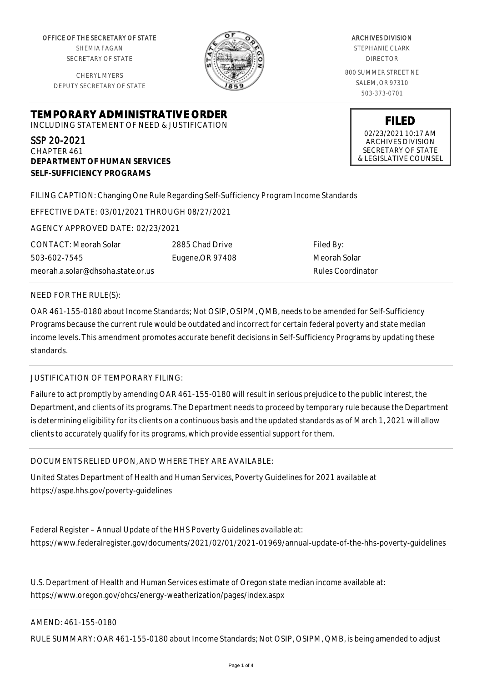OFFICE OF THE SECRETARY OF STATE SHEMIA FAGAN SECRETARY OF STATE

CHERYL MYERS DEPUTY SECRETARY OF STATE

**DEPARTMENT OF HUMAN SERVICES**

**SELF-SUFFICIENCY PROGRAMS**



ARCHIVES DIVISION STEPHANIE CLARK DIRECTOR 800 SUMMER STREET NE SALEM, OR 97310 503-373-0701

> **FILED** 02/23/2021 10:17 AM ARCHIVES DIVISION SECRETARY OF STATE & LEGISLATIVE COUNSEL

FILING CAPTION: Changing One Rule Regarding Self-Sufficiency Program Income Standards

EFFECTIVE DATE: 03/01/2021 THROUGH 08/27/2021

**TEMPORARY ADMINISTRATIVE ORDER** INCLUDING STATEMENT OF NEED & JUSTIFICATION

AGENCY APPROVED DATE: 02/23/2021

CONTACT: Meorah Solar 503-602-7545 meorah.a.solar@dhsoha.state.or.us 2885 Chad Drive Eugene,OR 97408

Filed By: Meorah Solar Rules Coordinator

NEED FOR THE RULE(S):

SSP 20-2021 CHAPTER 461

OAR 461-155-0180 about Income Standards; Not OSIP, OSIPM, QMB, needs to be amended for Self-Sufficiency Programs because the current rule would be outdated and incorrect for certain federal poverty and state median income levels. This amendment promotes accurate benefit decisions in Self-Sufficiency Programs by updating these standards.

## JUSTIFICATION OF TEMPORARY FILING:

Failure to act promptly by amending OAR 461-155-0180 will result in serious prejudice to the public interest, the Department, and clients of its programs. The Department needs to proceed by temporary rule because the Department is determining eligibility for its clients on a continuous basis and the updated standards as of March 1, 2021 will allow clients to accurately qualify for its programs, which provide essential support for them.

DOCUMENTS RELIED UPON, AND WHERE THEY ARE AVAILABLE:

United States Department of Health and Human Services, Poverty Guidelines for 2021 available at https://aspe.hhs.gov/poverty-guidelines

Federal Register – Annual Update of the HHS Poverty Guidelines available at: https://www.federalregister.gov/documents/2021/02/01/2021-01969/annual-update-of-the-hhs-poverty-guidelines

U.S. Department of Health and Human Services estimate of Oregon state median income available at: https://www.oregon.gov/ohcs/energy-weatherization/pages/index.aspx

## AMEND: 461-155-0180

RULE SUMMARY: OAR 461-155-0180 about Income Standards; Not OSIP, OSIPM, QMB, is being amended to adjust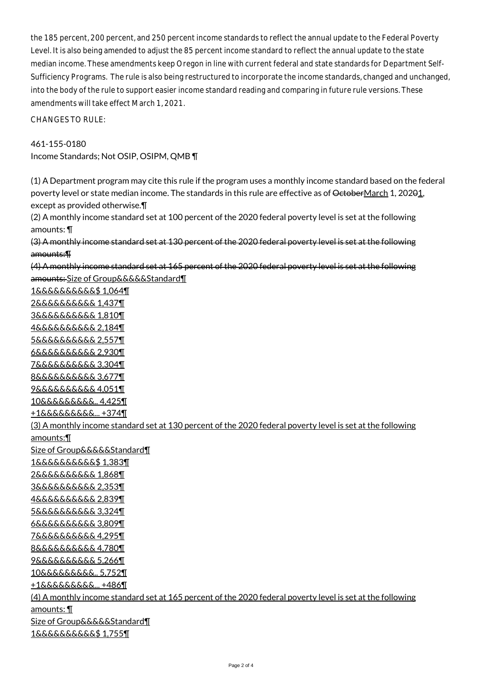the 185 percent, 200 percent, and 250 percent income standards to reflect the annual update to the Federal Poverty Level. It is also being amended to adjust the 85 percent income standard to reflect the annual update to the state median income. These amendments keep Oregon in line with current federal and state standards for Department Self-Sufficiency Programs. The rule is also being restructured to incorporate the income standards, changed and unchanged, into the body of the rule to support easier income standard reading and comparing in future rule versions. These amendments will take effect March 1, 2021.

CHANGES TO RULE:

461-155-0180 Income Standards; Not OSIP, OSIPM, QMB ¶

(1) A Department program may cite this rule if the program uses a monthly income standard based on the federal poverty level or state median income. The standards in this rule are effective as of OctoberMarch 1, 20201, except as provided otherwise.¶

(2) A monthly income standard set at 100 percent of the 2020 federal poverty level is set at the following amounts: ¶

(3) A monthly income standard set at 130 percent of the 2020 federal poverty level is set at the following amounts:¶

(4) A monthly income standard set at 165 percent of the 2020 federal poverty level is set at the following amounts: Size of Group&&&&&Standard¶

1&&&&&&&&&&\$ 1,064¶ 2&&&&&&&&&& 1,437¶ 3&&&&&&&&&& 1,810¶ 4&&&&&&&&&& 2,184¶ 5&&&&&&&&&& 2,557¶ 6&&&&&&&&&& 2,930¶ 7&&&&&&&&&& 3,304¶ 8&&&&&&&&&& 3,677¶ 9&&&&&&&&&& 4,051¶ 10&&&&&&&&&.. 4,425¶ +1&&&&&&&&&... +374¶ (3) A monthly income standard set at 130 percent of the 2020 federal poverty level is set at the following amounts:¶ Size of Group&&&&&Standard¶ 1&&&&&&&&&&\$ 1,383¶ 2&&&&&&&&&& 1,868¶ 3&&&&&&&&&& 2,353¶ 4&&&&&&&&&& 2,839¶ 5&&&&&&&&&& 3,324¶ 6&&&&&&&&&& 3,809¶ 7&&&&&&&&&& 4,295¶ 8&&&&&&&&&& 4,780¶ 9&&&&&&&&&& 5,266¶ 10&&&&&&&&&.. 5,752¶ +1&&&&&&&&&... +486¶ (4) A monthly income standard set at 165 percent of the 2020 federal poverty level is set at the following amounts: ¶ Size of Group&&&&&Standard¶ 1&&&&&&&&&&\$ 1,755¶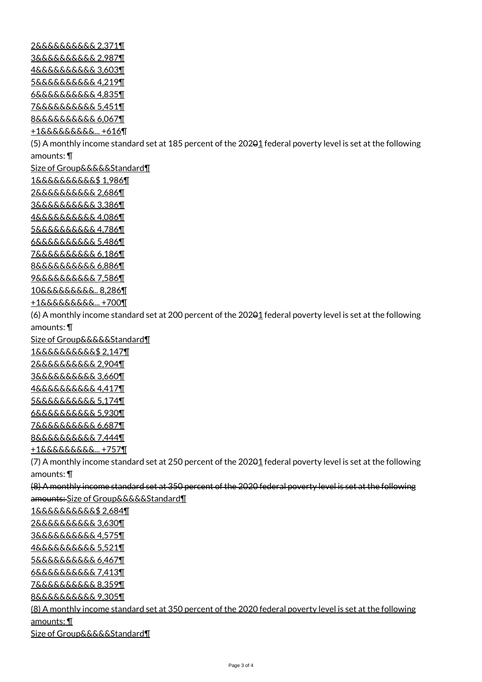2&&&&&&&&&& 2,371¶ 3&&&&&&&&&& 2,987¶ 4&&&&&&&&&& 3,603¶ 5&&&&&&&&&& 4,219¶ 6&&&&&&&&&& 4,835¶ 7&&&&&&&&&& 5,451¶ 8&&&&&&&&&& 6,067¶ +1&&&&&&&&&... +616¶ (5) A monthly income standard set at 185 percent of the 20201 federal poverty level is set at the following amounts: ¶ Size of Group&&&&&Standard¶ 1&&&&&&&&&&\$ 1,986¶ 2&&&&&&&&&& 2,686¶ 3&&&&&&&&&& 3,386¶ 4&&&&&&&&&& 4,086¶ 5&&&&&&&&&& 4,786¶ 6&&&&&&&&&& 5,486¶ 7&&&&&&&&&& 6,186¶ 8&&&&&&&&&& 6,886¶ 9&&&&&&&&&& 7,586¶ 10&&&&&&&&&.. 8,286¶ +1&&&&&&&&&... +700¶ (6) A monthly income standard set at 200 percent of the 20201 federal poverty level is set at the following amounts: ¶ Size of Group&&&&&Standard¶ 1&&&&&&&&&&\$ 2,147¶ 2&&&&&&&&&& 2,904¶ 3&&&&&&&&&& 3,660¶ 4&&&&&&&&&& 4,417¶ 5&&&&&&&&&& 5,174¶ 6&&&&&&&&&& 5,930¶ 7&&&&&&&&&& 6,687¶ 8&&&&&&&&&& 7,444¶ +1&&&&&&&&&... +757¶ (7) A monthly income standard set at 250 percent of the 20201 federal poverty level is set at the following amounts: ¶ (8) A monthly income standard set at 350 percent of the 2020 federal poverty level is set at the following amounts: Size of Group&&&&&Standard¶ 1&&&&&&&&&&\$ 2,684¶ 2&&&&&&&&&& 3,630¶ 3&&&&&&&&&& 4,575¶ 4&&&&&&&&&& 5,521¶ 5&&&&&&&&&& 6,467¶ 6&&&&&&&&&& 7,413¶ 7&&&&&&&&&& 8,359¶ 8&&&&&&&&&& 9,305¶ (8) A monthly income standard set at 350 percent of the 2020 federal poverty level is set at the following amounts: ¶ Size of Group&&&&&Standard¶